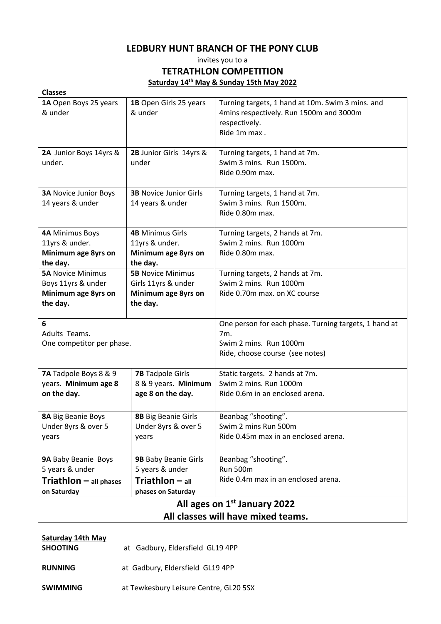# **LEDBURY HUNT BRANCH OF THE PONY CLUB**

invites you to a

# **TETRATHLON COMPETITION**

**Saturday 14th May & Sunday 15th May 2022**

| <b>Classes</b>                           |                               |                                                       |  |  |
|------------------------------------------|-------------------------------|-------------------------------------------------------|--|--|
| 1A Open Boys 25 years                    | 1B Open Girls 25 years        | Turning targets, 1 hand at 10m. Swim 3 mins. and      |  |  |
| & under                                  | & under                       | 4mins respectively. Run 1500m and 3000m               |  |  |
|                                          |                               | respectively.                                         |  |  |
|                                          |                               | Ride 1m max.                                          |  |  |
|                                          |                               |                                                       |  |  |
| 2A Junior Boys 14yrs &                   | 2B Junior Girls 14yrs &       | Turning targets, 1 hand at 7m.                        |  |  |
| under.                                   | under                         | Swim 3 mins. Run 1500m.                               |  |  |
|                                          |                               | Ride 0.90m max.                                       |  |  |
|                                          |                               |                                                       |  |  |
| <b>3A Novice Junior Boys</b>             | <b>3B Novice Junior Girls</b> | Turning targets, 1 hand at 7m.                        |  |  |
| 14 years & under                         | 14 years & under              | Swim 3 mins. Run 1500m.                               |  |  |
|                                          |                               | Ride 0.80m max.                                       |  |  |
|                                          |                               |                                                       |  |  |
| <b>4A Minimus Boys</b>                   | <b>4B Minimus Girls</b>       | Turning targets, 2 hands at 7m.                       |  |  |
| 11yrs & under.                           | 11yrs & under.                | Swim 2 mins. Run 1000m                                |  |  |
| Minimum age 8yrs on                      | Minimum age 8yrs on           | Ride 0.80m max.                                       |  |  |
| the day.                                 | the day.                      |                                                       |  |  |
| <b>5A Novice Minimus</b>                 | <b>5B Novice Minimus</b>      | Turning targets, 2 hands at 7m.                       |  |  |
| Boys 11yrs & under                       | Girls 11yrs & under           | Swim 2 mins. Run 1000m                                |  |  |
| Minimum age 8yrs on                      | Minimum age 8yrs on           | Ride 0.70m max. on XC course                          |  |  |
| the day.                                 | the day.                      |                                                       |  |  |
|                                          |                               |                                                       |  |  |
| 6                                        |                               | One person for each phase. Turning targets, 1 hand at |  |  |
| Adults Teams.                            |                               | 7m.                                                   |  |  |
| One competitor per phase.                |                               | Swim 2 mins. Run 1000m                                |  |  |
|                                          |                               | Ride, choose course (see notes)                       |  |  |
|                                          |                               |                                                       |  |  |
| 7A Tadpole Boys 8 & 9                    | <b>7B</b> Tadpole Girls       | Static targets. 2 hands at 7m.                        |  |  |
| years. Minimum age 8                     | 8 & 9 years. Minimum          | Swim 2 mins. Run 1000m                                |  |  |
| on the day.                              | age 8 on the day.             | Ride 0.6m in an enclosed arena.                       |  |  |
|                                          |                               |                                                       |  |  |
| <b>8A Big Beanie Boys</b>                | <b>8B</b> Big Beanie Girls    | Beanbag "shooting".                                   |  |  |
| Under 8yrs & over 5                      | Under 8yrs & over 5           | Swim 2 mins Run 500m                                  |  |  |
| years                                    | years                         | Ride 0.45m max in an enclosed arena.                  |  |  |
|                                          |                               |                                                       |  |  |
| 9A Baby Beanie Boys                      | 9B Baby Beanie Girls          | Beanbag "shooting".                                   |  |  |
| 5 years & under                          | 5 years & under               | <b>Run 500m</b>                                       |  |  |
| $Triathlon - all phases$                 | <b>Triathlon</b> $-$ all      | Ride 0.4m max in an enclosed arena.                   |  |  |
| on Saturday                              | phases on Saturday            |                                                       |  |  |
| All ages on 1 <sup>st</sup> January 2022 |                               |                                                       |  |  |
| All classes will have mixed teams.       |                               |                                                       |  |  |
|                                          |                               |                                                       |  |  |

| <b>Saturday 14th May</b><br><b>SHOOTING</b> | at Gadbury, Eldersfield GL19 4PP       |  |  |
|---------------------------------------------|----------------------------------------|--|--|
| <b>RUNNING</b>                              | at Gadbury, Eldersfield GL19 4PP       |  |  |
| <b>SWIMMING</b>                             | at Tewkesbury Leisure Centre, GL20 5SX |  |  |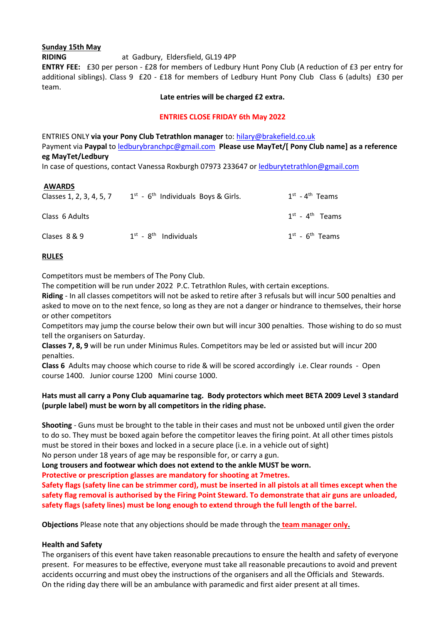# **Sunday 15th May**

**RIDING** at Gadbury, Eldersfield, GL19 4PP

**ENTRY FEE:** £30 per person - £28 for members of Ledbury Hunt Pony Club (A reduction of £3 per entry for additional siblings). Class 9 £20 - £18 for members of Ledbury Hunt Pony Club Class 6 (adults) £30 per team.

#### **Late entries will be charged £2 extra.**

#### **ENTRIES CLOSE FRIDAY 6th May 2022**

ENTRIES ONLY **via your Pony Club Tetrathlon manager** to: [hilary@brakefield.co.uk](mailto:hilary@brakefield.co.uk) Payment via **Paypal** to [ledburybranchpc@gmail.com](mailto:ledburybranchpc@gmail.com) **Please use MayTet/[ Pony Club name] as a reference eg MayTet/Ledbury**

In case of questions, contact Vanessa Roxburgh 07973 233647 or [ledburytetrathlon@gmail.com](mailto:ledburytetrathlon@gmail.com)

#### **AWARDS**

| Classes 1, 2, 3, 4, 5, 7 | $1st$ - 6 <sup>th</sup> Individuals Boys & Girls. | $1st$ - 4 <sup>th</sup> Teams |
|--------------------------|---------------------------------------------------|-------------------------------|
| Class 6 Adults           |                                                   | $1st$ - $4th$ Teams           |
| Clases 8 & 9             | $1st$ - $8th$ Individuals                         | $1st$ - 6 <sup>th</sup> Teams |

## **RULES**

Competitors must be members of The Pony Club.

The competition will be run under 2022 P.C. Tetrathlon Rules, with certain exceptions.

**Riding** - In all classes competitors will not be asked to retire after 3 refusals but will incur 500 penalties and asked to move on to the next fence, so long as they are not a danger or hindrance to themselves, their horse or other competitors

Competitors may jump the course below their own but will incur 300 penalties. Those wishing to do so must tell the organisers on Saturday.

**Classes 7, 8, 9** will be run under Minimus Rules. Competitors may be led or assisted but will incur 200 penalties.

**Class 6** Adults may choose which course to ride & will be scored accordingly i.e. Clear rounds - Open course 1400. Junior course 1200 Mini course 1000.

# **Hats must all carry a Pony Club aquamarine tag. Body protectors which meet BETA 2009 Level 3 standard (purple label) must be worn by all competitors in the riding phase.**

**Shooting** - Guns must be brought to the table in their cases and must not be unboxed until given the order to do so. They must be boxed again before the competitor leaves the firing point. At all other times pistols must be stored in their boxes and locked in a secure place (i.e. in a vehicle out of sight) No person under 18 years of age may be responsible for, or carry a gun.

**Long trousers and footwear which does not extend to the ankle MUST be worn.**

**Protective or prescription glasses are mandatory for shooting at 7metres.**

**Safety flags (safety line can be strimmer cord), must be inserted in all pistols at all times except when the safety flag removal is authorised by the Firing Point Steward. To demonstrate that air guns are unloaded, safety flags (safety lines) must be long enough to extend through the full length of the barrel.**

**Objections** Please note that any objections should be made through the **team manager only.**

## **Health and Safety**

The organisers of this event have taken reasonable precautions to ensure the health and safety of everyone present. For measures to be effective, everyone must take all reasonable precautions to avoid and prevent accidents occurring and must obey the instructions of the organisers and all the Officials and Stewards. On the riding day there will be an ambulance with paramedic and first aider present at all times.